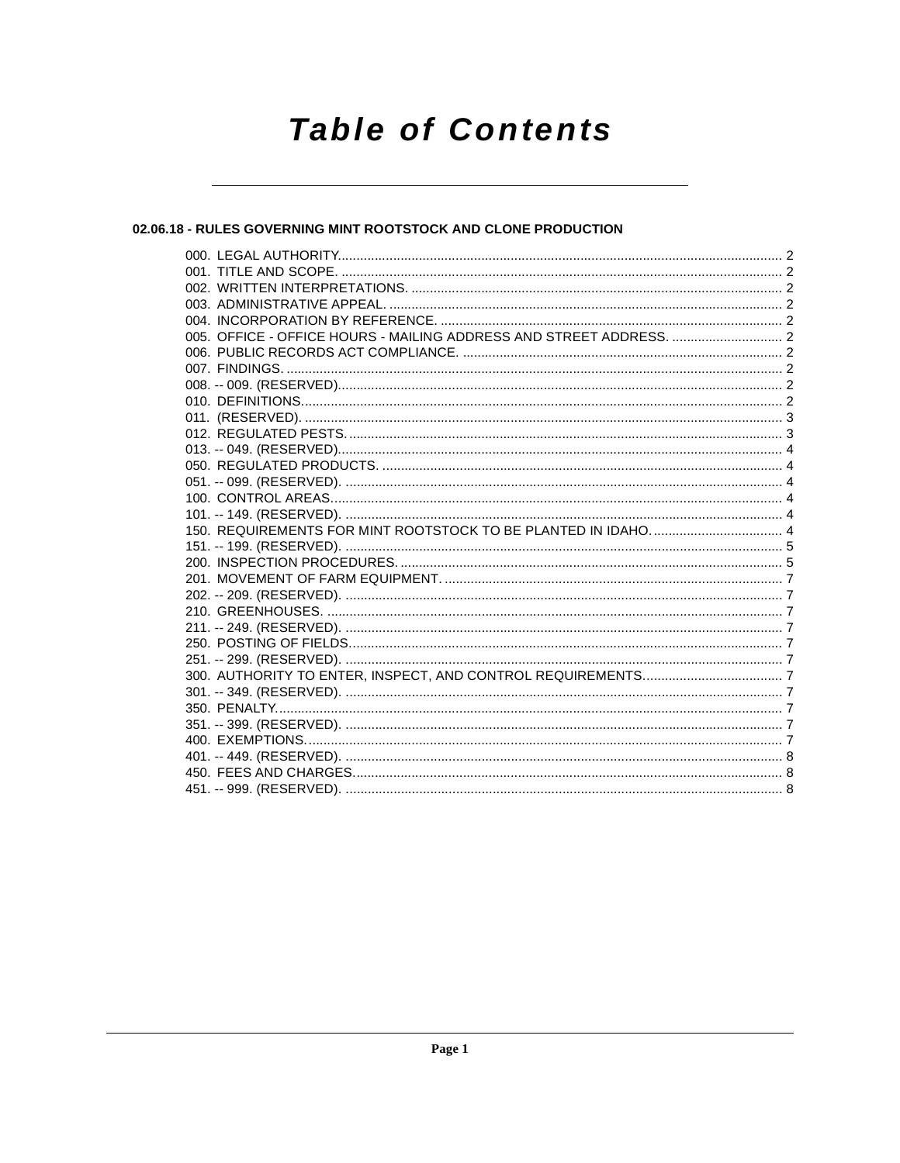# **Table of Contents**

# 02.06.18 - RULES GOVERNING MINT ROOTSTOCK AND CLONE PRODUCTION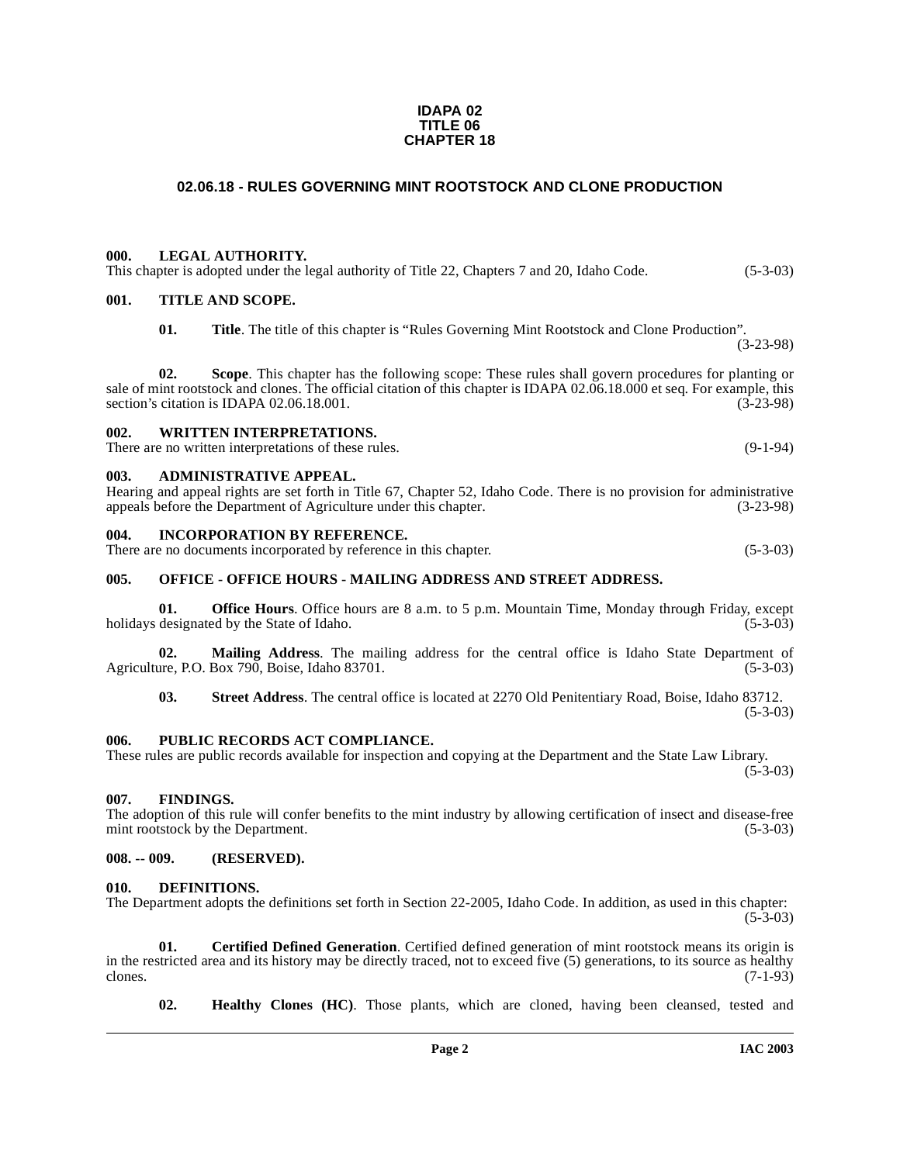#### **IDAPA 02 TITLE 06 CHAPTER 18**

# **02.06.18 - RULES GOVERNING MINT ROOTSTOCK AND CLONE PRODUCTION**

#### <span id="page-1-1"></span><span id="page-1-0"></span>**000. LEGAL AUTHORITY.**

# This chapter is adopted under the legal authority of Title 22, Chapters 7 and 20, Idaho Code.  $(5-3-03)$

## <span id="page-1-2"></span>**001. TITLE AND SCOPE.**

**01. Title**. The title of this chapter is "Rules Governing Mint Rootstock and Clone Production". (3-23-98)

**02. Scope**. This chapter has the following scope: These rules shall govern procedures for planting or sale of mint rootstock and clones. The official citation of this chapter is IDAPA 02.06.18.000 et seq. For example, this section's citation is IDAPA 02.06.18.001. (3-23-98) section's citation is IDAPA 02.06.18.001.

## <span id="page-1-3"></span>**002. WRITTEN INTERPRETATIONS.**

There are no written interpretations of these rules. (9-1-94)

#### <span id="page-1-4"></span>**003. ADMINISTRATIVE APPEAL.**

Hearing and appeal rights are set forth in Title 67, Chapter 52, Idaho Code. There is no provision for administrative appeals before the Department of Agriculture under this chapter.

#### <span id="page-1-5"></span>**004. INCORPORATION BY REFERENCE.**

There are no documents incorporated by reference in this chapter. (5-3-03)

## <span id="page-1-6"></span>**005. OFFICE - OFFICE HOURS - MAILING ADDRESS AND STREET ADDRESS.**

**01. Office Hours**. Office hours are 8 a.m. to 5 p.m. Mountain Time, Monday through Friday, except designated by the State of Idaho. (5-3-03) holidays designated by the State of Idaho.

**02.** Mailing Address. The mailing address for the central office is Idaho State Department of are, P.O. Box 790, Boise, Idaho 83701. (5-3-03) Agriculture, P.O. Box 790, Boise, Idaho 83701.

**03. Street Address**. The central office is located at 2270 Old Penitentiary Road, Boise, Idaho 83712.  $(5-3-03)$ 

#### <span id="page-1-7"></span>**006. PUBLIC RECORDS ACT COMPLIANCE.**

#### These rules are public records available for inspection and copying at the Department and the State Law Library.  $(5-3-03)$

#### <span id="page-1-13"></span><span id="page-1-8"></span>**007. FINDINGS.**

The adoption of this rule will confer benefits to the mint industry by allowing certification of insect and disease-free mint rootstock by the Department. (5-3-03)

### <span id="page-1-9"></span>**008. -- 009. (RESERVED).**

#### <span id="page-1-12"></span><span id="page-1-10"></span>**010. DEFINITIONS.**

The Department adopts the definitions set forth in Section 22-2005, Idaho Code. In addition, as used in this chapter:  $(5-3-03)$ 

**01. Certified Defined Generation**. Certified defined generation of mint rootstock means its origin is in the restricted area and its history may be directly traced, not to exceed five (5) generations, to its source as healthy clones. (7-1-93) clones.  $(7-1-93)$ 

<span id="page-1-14"></span><span id="page-1-11"></span>**02. Healthy Clones (HC)**. Those plants, which are cloned, having been cleansed, tested and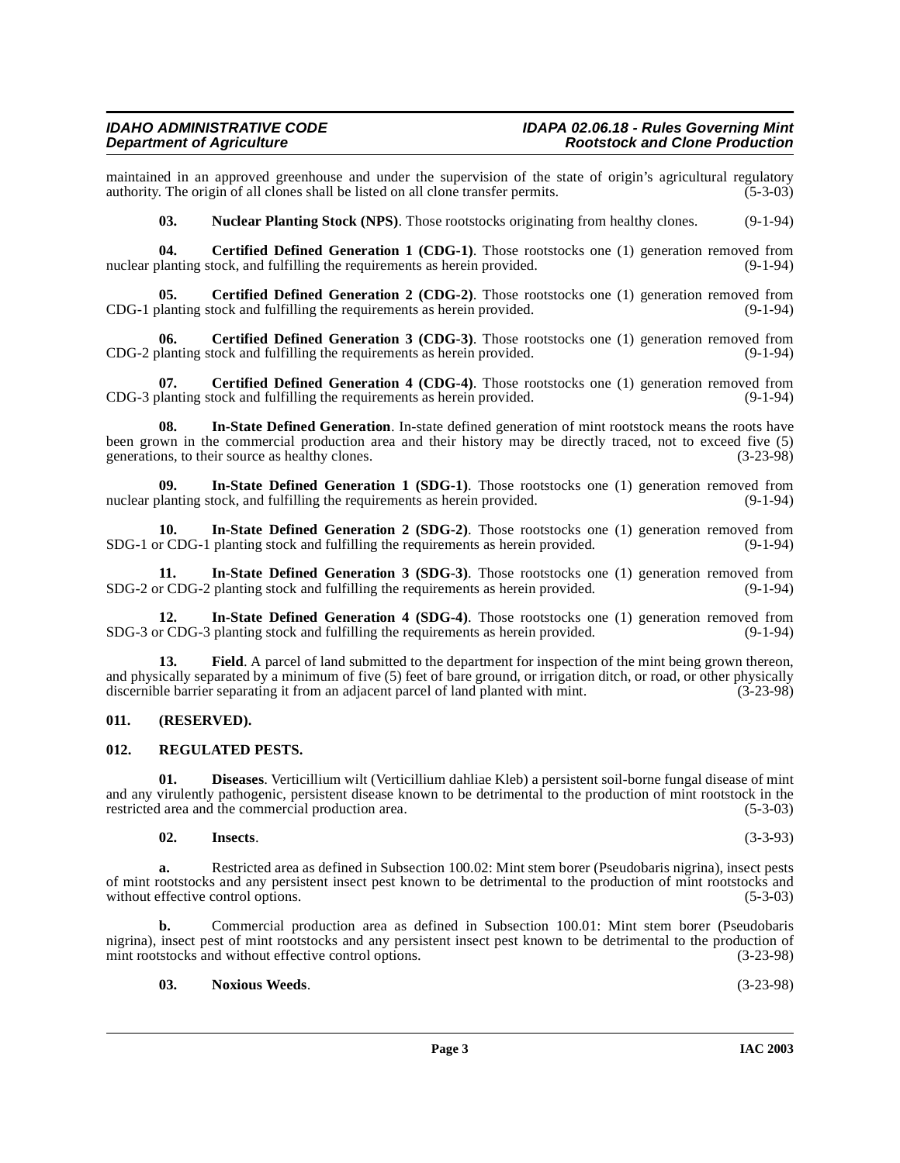maintained in an approved greenhouse and under the supervision of the state of origin's agricultural regulatory authority. The origin of all clones shall be listed on all clone transfer permits. (5-3-03) authority. The origin of all clones shall be listed on all clone transfer permits.

<span id="page-2-14"></span><span id="page-2-2"></span>**03.** Nuclear Planting Stock (NPS). Those rootstocks originating from healthy clones. (9-1-94)

**04. Certified Defined Generation 1 (CDG-1)**. Those rootstocks one (1) generation removed from planting stock, and fulfilling the requirements as herein provided. (9-1-94) nuclear planting stock, and fulfilling the requirements as herein provided.

**05.** Certified Defined Generation 2 (CDG-2). Those rootstocks one (1) generation removed from CDG-1 planting stock and fulfilling the requirements as herein provided. (9-1-94)

<span id="page-2-3"></span>**06. Certified Defined Generation 3 (CDG-3)**. Those rootstocks one (1) generation removed from planting stock and fulfilling the requirements as herein provided. (9-1-94) CDG-2 planting stock and fulfilling the requirements as herein provided.

<span id="page-2-4"></span>**07. Certified Defined Generation 4 (CDG-4)**. Those rootstocks one (1) generation removed from planting stock and fulfilling the requirements as herein provided. (9-1-94) CDG-3 planting stock and fulfilling the requirements as herein provided.

<span id="page-2-12"></span>**08. In-State Defined Generation**. In-state defined generation of mint rootstock means the roots have been grown in the commercial production area and their history may be directly traced, not to exceed five (5) generations, to their source as healthy clones. (3-23-98)

<span id="page-2-7"></span>**09.** In-State Defined Generation 1 (SDG-1). Those rootstocks one (1) generation removed from planting stock, and fulfilling the requirements as herein provided. (9-1-94) nuclear planting stock, and fulfilling the requirements as herein provided.

<span id="page-2-8"></span>**10. In-State Defined Generation 2 (SDG-2)**. Those rootstocks one (1) generation removed from SDG-1 or CDG-1 planting stock and fulfilling the requirements as herein provided. (9-1-94)

<span id="page-2-9"></span>**11.** In-State Defined Generation 3 (SDG-3). Those rootstocks one (1) generation removed from r CDG-2 planting stock and fulfilling the requirements as herein provided. (9-1-94) SDG-2 or CDG-2 planting stock and fulfilling the requirements as herein provided.

<span id="page-2-10"></span>**12.** In-State Defined Generation 4 (SDG-4). Those rootstocks one (1) generation removed from r CDG-3 planting stock and fulfilling the requirements as herein provided. (9-1-94) SDG-3 or CDG-3 planting stock and fulfilling the requirements as herein provided.

<span id="page-2-6"></span>**13.** Field. A parcel of land submitted to the department for inspection of the mint being grown thereon, and physically separated by a minimum of five (5) feet of bare ground, or irrigation ditch, or road, or other physically discernible barrier separating it from an adjacent parcel of land planted with mint. (3-23-98)

#### <span id="page-2-0"></span>**011. (RESERVED).**

### <span id="page-2-15"></span><span id="page-2-1"></span>**012. REGULATED PESTS.**

**01. Diseases**. Verticillium wilt (Verticillium dahliae Kleb) a persistent soil-borne fungal disease of mint and any virulently pathogenic, persistent disease known to be detrimental to the production of mint rootstock in the restricted area and the commercial production area. (5-3-03)

#### <span id="page-2-11"></span><span id="page-2-5"></span>**02. Insects**. (3-3-93)

**a.** Restricted area as defined in Subsection 100.02: Mint stem borer (Pseudobaris nigrina), insect pests of mint rootstocks and any persistent insect pest known to be detrimental to the production of mint rootstocks and without effective control options. (5-3-03) without effective control options.

**b.** Commercial production area as defined in Subsection 100.01: Mint stem borer (Pseudobaris nigrina), insect pest of mint rootstocks and any persistent insect pest known to be detrimental to the production of mint rootstocks and without effective control options. (3-23-98)

#### <span id="page-2-13"></span>**03. Noxious Weeds**. (3-23-98)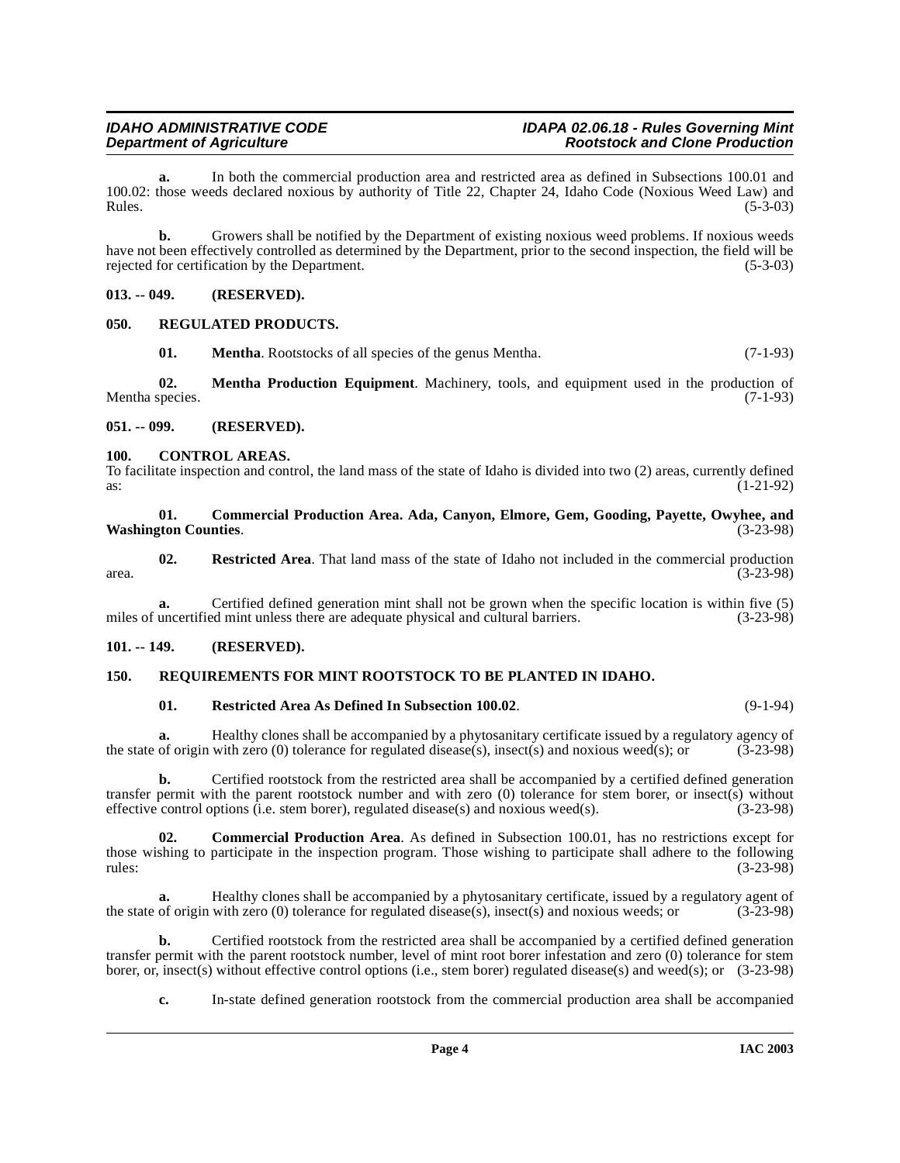#### **IDAHO ADMINISTRATIVE CODE IDAPA 02.06.18 - Rules Governing Mint Rootstock and Clone Production**

**a.** In both the commercial production area and restricted area as defined in Subsections 100.01 and 100.02: those weeds declared noxious by authority of Title 22, Chapter 24, Idaho Code (Noxious Weed Law) and  $Rules.$  (5-3-03)

**b.** Growers shall be notified by the Department of existing noxious weed problems. If noxious weeds have not been effectively controlled as determined by the Department, prior to the second inspection, the field will be rejected for certification by the Department. rejected for certification by the Department.

### <span id="page-3-0"></span>**013. -- 049. (RESERVED).**

### <span id="page-3-1"></span>**050. REGULATED PRODUCTS.**

<span id="page-3-11"></span><span id="page-3-10"></span><span id="page-3-9"></span>**01. Mentha**. Rootstocks of all species of the genus Mentha. (7-1-93)

**02. Mentha Production Equipment**. Machinery, tools, and equipment used in the production of Mentha species.  $(7-1-93)$ 

### <span id="page-3-2"></span>**051. -- 099. (RESERVED).**

### <span id="page-3-8"></span><span id="page-3-3"></span>**100. CONTROL AREAS.**

To facilitate inspection and control, the land mass of the state of Idaho is divided into two (2) areas, currently defined as:  $(1-21-92)$ 

#### <span id="page-3-6"></span>**01. Commercial Production Area. Ada, Canyon, Elmore, Gem, Gooding, Payette, Owyhee, and Washington Counties**. (3-23-98)

<span id="page-3-14"></span>**02.** Restricted Area. That land mass of the state of Idaho not included in the commercial production (3-23-98)  $\frac{1}{3}$  area. (3-23-98)

**a.** Certified defined generation mint shall not be grown when the specific location is within five (5) uncertified mint unless there are adequate physical and cultural barriers. (3-23-98) miles of uncertified mint unless there are adequate physical and cultural barriers.

# <span id="page-3-4"></span>**101. -- 149. (RESERVED).**

# <span id="page-3-5"></span>**150. REQUIREMENTS FOR MINT ROOTSTOCK TO BE PLANTED IN IDAHO.**

#### <span id="page-3-13"></span><span id="page-3-12"></span>**01. Restricted Area As Defined In Subsection 100.02**. (9-1-94)

**a.** Healthy clones shall be accompanied by a phytosanitary certificate issued by a regulatory agency of origin with zero (0) tolerance for regulated disease(s), insect(s) and noxious weed(s); or (3-23-98) the state of origin with zero (0) tolerance for regulated disease(s), insect(s) and noxious weed(s); or

**b.** Certified rootstock from the restricted area shall be accompanied by a certified defined generation transfer permit with the parent rootstock number and with zero (0) tolerance for stem borer, or insect(s) without effective control options (i.e. stem borer), regulated disease(s) and noxious weed(s). (3-23-98)

<span id="page-3-7"></span>**02. Commercial Production Area**. As defined in Subsection 100.01, has no restrictions except for those wishing to participate in the inspection program. Those wishing to participate shall adhere to the following rules: (3-23-98)

Healthy clones shall be accompanied by a phytosanitary certificate, issued by a regulatory agent of with zero (0) tolerance for regulated disease(s), insect(s) and noxious weeds; or  $(3-23-98)$ the state of origin with zero (0) tolerance for regulated disease(s), insect(s) and noxious weeds; or

**b.** Certified rootstock from the restricted area shall be accompanied by a certified defined generation transfer permit with the parent rootstock number, level of mint root borer infestation and zero (0) tolerance for stem borer, or, insect(s) without effective control options (i.e., stem borer) regulated disease(s) and weed(s); or (3-23-98)

**c.** In-state defined generation rootstock from the commercial production area shall be accompanied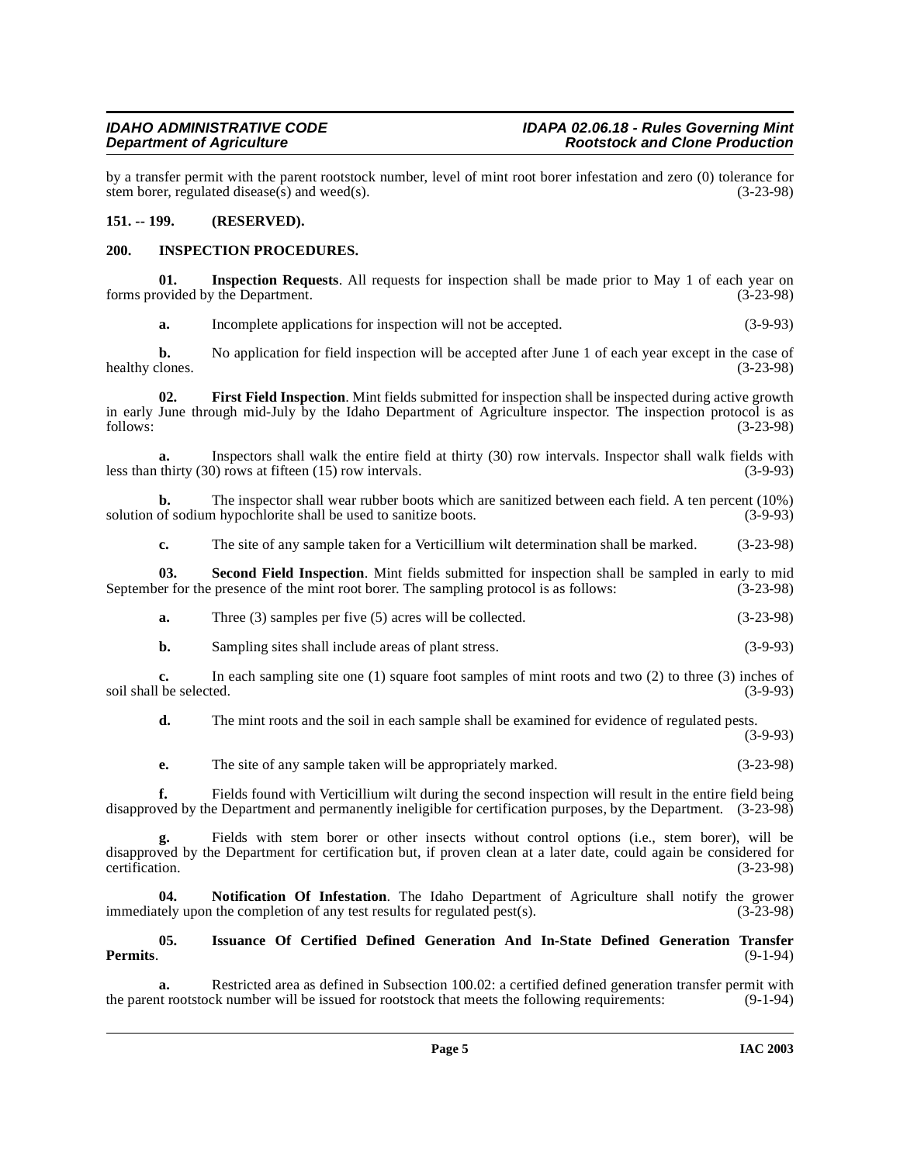by a transfer permit with the parent rootstock number, level of mint root borer infestation and zero (0) tolerance for stem borer, regulated disease(s) and weed(s). (3-23-98) stem borer, regulated disease $(s)$  and weed $(s)$ .

### <span id="page-4-0"></span>**151. -- 199. (RESERVED).**

### <span id="page-4-3"></span><span id="page-4-1"></span>**200. INSPECTION PROCEDURES.**

**01. Inspection Requests**. All requests for inspection shall be made prior to May 1 of each year on ovided by the Department. (3-23-98) forms provided by the Department.

<span id="page-4-4"></span><span id="page-4-2"></span>**a.** Incomplete applications for inspection will not be accepted. (3-9-93)

**b.** No application for field inspection will be accepted after June 1 of each year except in the case of healthy clones. (3-23-98)

**02. First Field Inspection**. Mint fields submitted for inspection shall be inspected during active growth in early June through mid-July by the Idaho Department of Agriculture inspector. The inspection protocol is as<br>
(3-23-98) follows: (3-23-98)

**a.** Inspectors shall walk the entire field at thirty (30) row intervals. Inspector shall walk fields with less than thirty (30) rows at fifteen (15) row intervals. (3-9-93)

**b.** The inspector shall wear rubber boots which are sanitized between each field. A ten percent (10%) of sodium hypochlorite shall be used to sanitize boots. (3-9-93) solution of sodium hypochlorite shall be used to sanitize boots.

<span id="page-4-7"></span>**c.** The site of any sample taken for a Verticillium wilt determination shall be marked. (3-23-98)

**03.** Second Field Inspection. Mint fields submitted for inspection shall be sampled in early to mid er for the presence of the mint root borer. The sampling protocol is as follows:  $(3-23-98)$ September for the presence of the mint root borer. The sampling protocol is as follows:

| а. | Three $(3)$ samples per five $(5)$ acres will be collected. | $(3-23-98)$ |
|----|-------------------------------------------------------------|-------------|
|----|-------------------------------------------------------------|-------------|

**b.** Sampling sites shall include areas of plant stress. (3-9-93)

**c.** In each sampling site one (1) square foot samples of mint roots and two (2) to three (3) inches of the selected. (3-9-93) soil shall be selected.

**d.** The mint roots and the soil in each sample shall be examined for evidence of regulated pests.

(3-9-93)

**e.** The site of any sample taken will be appropriately marked. (3-23-98)

**f.** Fields found with Verticillium wilt during the second inspection will result in the entire field being disapproved by the Department and permanently ineligible for certification purposes, by the Department. (3-23-98)

**g.** Fields with stem borer or other insects without control options (i.e., stem borer), will be disapproved by the Department for certification but, if proven clean at a later date, could again be considered for certification. (3-23-98)

<span id="page-4-6"></span>**04.** Notification Of Infestation. The Idaho Department of Agriculture shall notify the grower tely upon the completion of any test results for regulated pest(s). (3-23-98) immediately upon the completion of any test results for regulated pest $(s)$ .

#### <span id="page-4-5"></span>**05. Issuance Of Certified Defined Generation And In-State Defined Generation Transfer Permits**. (9-1-94)

**a.** Restricted area as defined in Subsection 100.02: a certified defined generation transfer permit with trootstock number will be issued for rootstock that meets the following requirements: (9-1-94) the parent rootstock number will be issued for rootstock that meets the following requirements: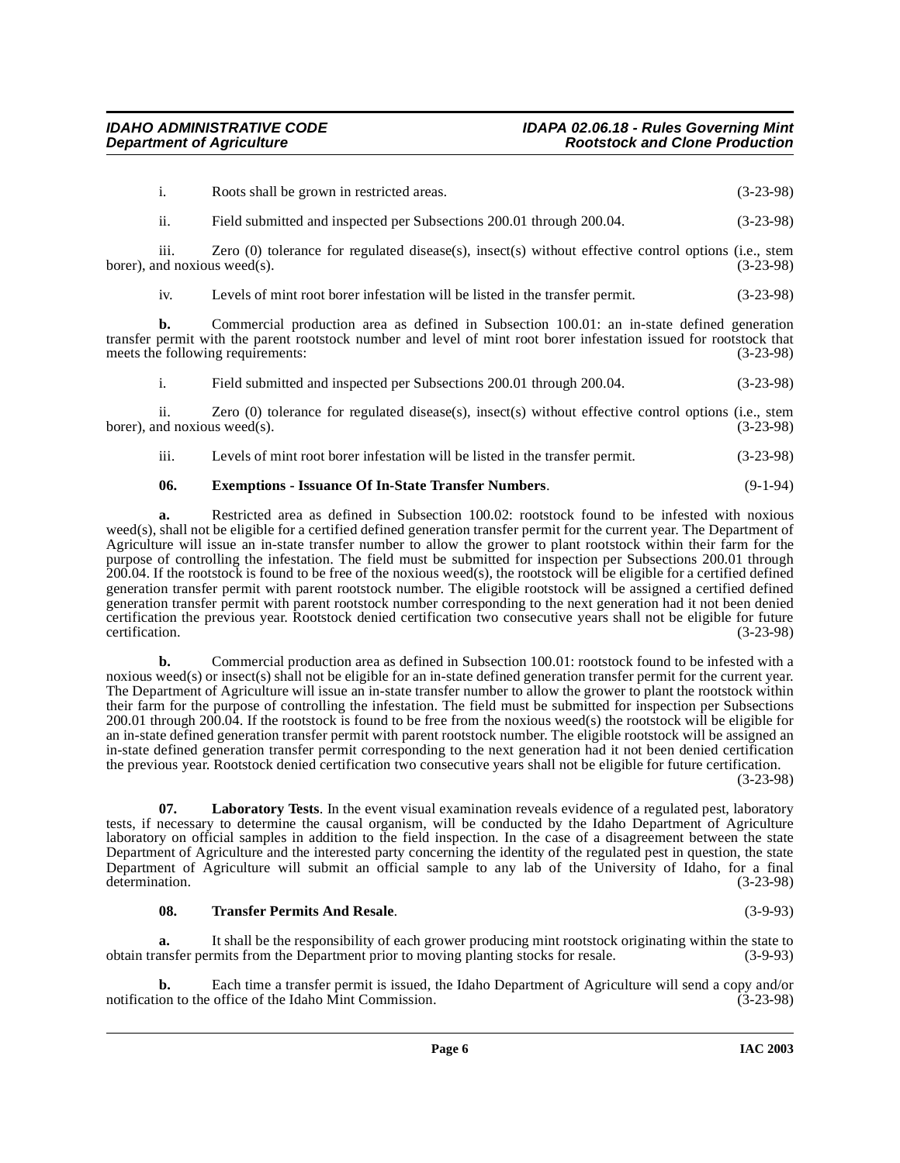|                  | Roots shall be grown in restricted areas.                                                                                                  | $(3-23-98)$ |
|------------------|--------------------------------------------------------------------------------------------------------------------------------------------|-------------|
| ii.              | Field submitted and inspected per Subsections 200.01 through 200.04.                                                                       | $(3-23-98)$ |
| $\cdots$<br>111. | Zero $(0)$ tolerance for regulated disease(s), insect(s) without effective control options (i.e., stem<br>borer), and noxious weed $(s)$ . | $(3-23-98)$ |

iv. Levels of mint root borer infestation will be listed in the transfer permit. (3-23-98)

**b.** Commercial production area as defined in Subsection 100.01: an in-state defined generation transfer permit with the parent rootstock number and level of mint root borer infestation issued for rootstock that meets the following requirements:<br>(3-23-98) meets the following requirements:

i. Field submitted and inspected per Subsections 200.01 through 200.04. (3-23-98)

ii. Zero (0) tolerance for regulated disease(s), insect(s) without effective control options (i.e., stem nd noxious weed(s). (3-23-98) borer), and noxious weed(s).

iii. Levels of mint root borer infestation will be listed in the transfer permit. (3-23-98)

### <span id="page-5-0"></span>**06. Exemptions - Issuance Of In-State Transfer Numbers**. (9-1-94)

**a.** Restricted area as defined in Subsection 100.02: rootstock found to be infested with noxious weed(s), shall not be eligible for a certified defined generation transfer permit for the current year. The Department of Agriculture will issue an in-state transfer number to allow the grower to plant rootstock within their farm for the purpose of controlling the infestation. The field must be submitted for inspection per Subsections 200.01 through 200.04. If the rootstock is found to be free of the noxious weed(s), the rootstock will be eligible for a certified defined generation transfer permit with parent rootstock number. The eligible rootstock will be assigned a certified defined generation transfer permit with parent rootstock number corresponding to the next generation had it not been denied certification the previous year. Rootstock denied certification two consecutive years shall not be eligible for future certification. (3-23-98)

**b.** Commercial production area as defined in Subsection 100.01: rootstock found to be infested with a noxious weed(s) or insect(s) shall not be eligible for an in-state defined generation transfer permit for the current year. The Department of Agriculture will issue an in-state transfer number to allow the grower to plant the rootstock within their farm for the purpose of controlling the infestation. The field must be submitted for inspection per Subsections 200.01 through 200.04. If the rootstock is found to be free from the noxious weed(s) the rootstock will be eligible for an in-state defined generation transfer permit with parent rootstock number. The eligible rootstock will be assigned an in-state defined generation transfer permit corresponding to the next generation had it not been denied certification the previous year. Rootstock denied certification two consecutive years shall not be eligible for future certification.

(3-23-98)

<span id="page-5-1"></span>**07.** Laboratory Tests. In the event visual examination reveals evidence of a regulated pest, laboratory tests, if necessary to determine the causal organism, will be conducted by the Idaho Department of Agriculture laboratory on official samples in addition to the field inspection. In the case of a disagreement between the state Department of Agriculture and the interested party concerning the identity of the regulated pest in question, the state Department of Agriculture will submit an official sample to any lab of the University of Idaho, for a final determination. (3-23-98) determination.

# <span id="page-5-2"></span>**08. Transfer Permits And Resale**. (3-9-93)

**a.** It shall be the responsibility of each grower producing mint rootstock originating within the state to ansfer permits from the Department prior to moving planting stocks for resale. (3-9-93) obtain transfer permits from the Department prior to moving planting stocks for resale.

**b.** Each time a transfer permit is issued, the Idaho Department of Agriculture will send a copy and/or on to the office of the Idaho Mint Commission. (3-23-98) notification to the office of the Idaho Mint Commission.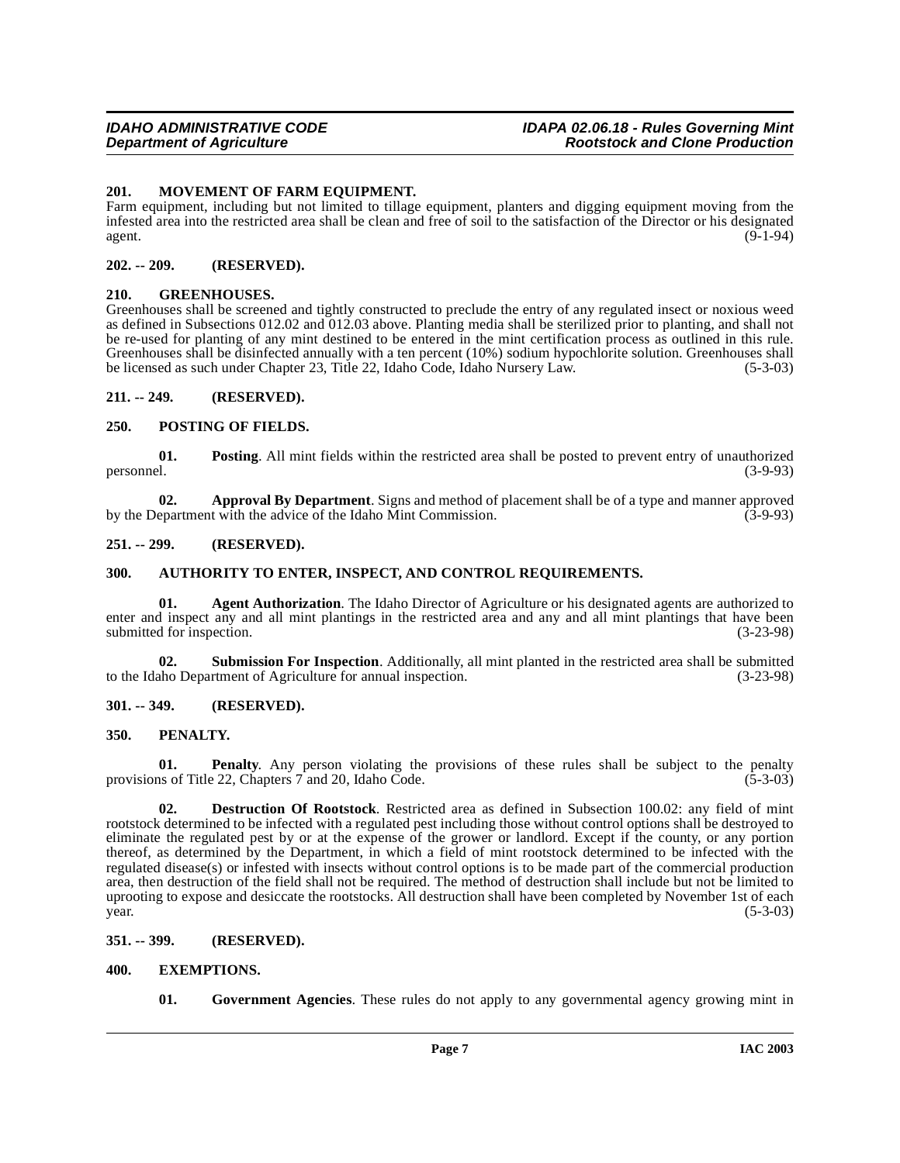#### <span id="page-6-17"></span><span id="page-6-0"></span>**201. MOVEMENT OF FARM EQUIPMENT.**

Farm equipment, including but not limited to tillage equipment, planters and digging equipment moving from the infested area into the restricted area shall be clean and free of soil to the satisfaction of the Director or his designated agent. (9-1-94)

#### <span id="page-6-1"></span>**202. -- 209. (RESERVED).**

### <span id="page-6-16"></span><span id="page-6-2"></span>**210. GREENHOUSES.**

Greenhouses shall be screened and tightly constructed to preclude the entry of any regulated insect or noxious weed as defined in Subsections 012.02 and 012.03 above. Planting media shall be sterilized prior to planting, and shall not be re-used for planting of any mint destined to be entered in the mint certification process as outlined in this rule. Greenhouses shall be disinfected annually with a ten percent (10%) sodium hypochlorite solution. Greenhouses shall be licensed as such under Chapter 23, Title 22, Idaho Code, Idaho Nursery Law. (5-3-03)

### <span id="page-6-3"></span>**211. -- 249. (RESERVED).**

### <span id="page-6-19"></span><span id="page-6-4"></span>**250. POSTING OF FIELDS.**

**01. Posting**. All mint fields within the restricted area shall be posted to prevent entry of unauthorized  $(3-9-93)$ personnel. (3-9-93)

<span id="page-6-11"></span>**02. Approval By Department**. Signs and method of placement shall be of a type and manner approved epartment with the advice of the Idaho Mint Commission. (3-9-93) by the Department with the advice of the Idaho Mint Commission.

### <span id="page-6-5"></span>**251. -- 299. (RESERVED).**

# <span id="page-6-12"></span><span id="page-6-6"></span>**300. AUTHORITY TO ENTER, INSPECT, AND CONTROL REQUIREMENTS.**

**01. Agent Authorization**. The Idaho Director of Agriculture or his designated agents are authorized to enter and inspect any and all mint plantings in the restricted area and any and all mint plantings that have been submitted for inspection. (3-23-98)

**02. Submission For Inspection**. Additionally, all mint planted in the restricted area shall be submitted aho Department of Agriculture for annual inspection. (3-23-98) to the Idaho Department of Agriculture for annual inspection.

# <span id="page-6-7"></span>**301. -- 349. (RESERVED).**

# <span id="page-6-18"></span><span id="page-6-8"></span>**350. PENALTY.**

**01. Penalty**. Any person violating the provisions of these rules shall be subject to the penalty is of Title 22. Chapters 7 and 20. Idaho Code. (5-3-03) provisions of Title 22, Chapters 7 and 20, Idaho Code.

<span id="page-6-13"></span>**02. Destruction Of Rootstock**. Restricted area as defined in Subsection 100.02: any field of mint rootstock determined to be infected with a regulated pest including those without control options shall be destroyed to eliminate the regulated pest by or at the expense of the grower or landlord. Except if the county, or any portion thereof, as determined by the Department, in which a field of mint rootstock determined to be infected with the regulated disease(s) or infested with insects without control options is to be made part of the commercial production area, then destruction of the field shall not be required. The method of destruction shall include but not be limited to uprooting to expose and desiccate the rootstocks. All destruction shall have been completed by November 1st of each  $year.$  (5-3-03)

#### <span id="page-6-9"></span>**351. -- 399. (RESERVED).**

### <span id="page-6-10"></span>**400. EXEMPTIONS.**

<span id="page-6-15"></span><span id="page-6-14"></span>**01. Government Agencies**. These rules do not apply to any governmental agency growing mint in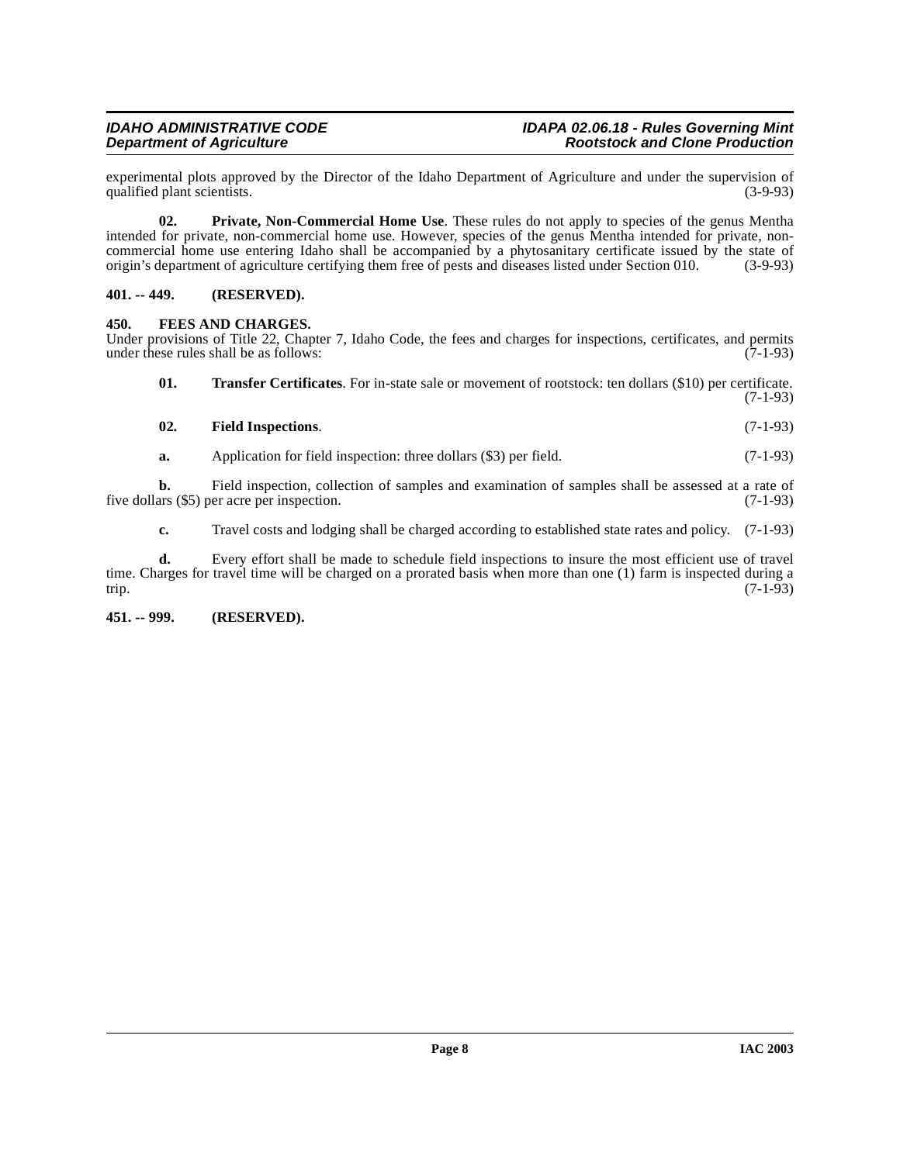experimental plots approved by the Director of the Idaho Department of Agriculture and under the supervision of qualified plant scientists.

<span id="page-7-5"></span>**02. Private, Non-Commercial Home Use**. These rules do not apply to species of the genus Mentha intended for private, non-commercial home use. However, species of the genus Mentha intended for private, noncommercial home use entering Idaho shall be accompanied by a phytosanitary certificate issued by the state of origin's department of agriculture certifying them free of pests and diseases listed under Section 010. (3-9-93) origin's department of agriculture certifying them free of pests and diseases listed under Section 010.

### <span id="page-7-0"></span>**401. -- 449. (RESERVED).**

### <span id="page-7-3"></span><span id="page-7-1"></span>**450. FEES AND CHARGES.**

Under provisions of Title 22, Chapter 7, Idaho Code, the fees and charges for inspections, certificates, and permits under these rules shall be as follows: (7-1-93) under these rules shall be as follows:

<span id="page-7-6"></span>**01. Transfer Certificates**. For in-state sale or movement of rootstock: ten dollars (\$10) per certificate. (7-1-93)

<span id="page-7-4"></span>

| 02. | <b>Field Inspections.</b> | $(7-1-93)$ |
|-----|---------------------------|------------|

**a.** Application for field inspection: three dollars (\$3) per field. (7-1-93)

**b.** Field inspection, collection of samples and examination of samples shall be assessed at a rate of ars (\$5) per acre per inspection. (7-1-93) five dollars  $(\$5)$  per acre per inspection.

**c.** Travel costs and lodging shall be charged according to established state rates and policy. (7-1-93)

**d.** Every effort shall be made to schedule field inspections to insure the most efficient use of travel time. Charges for travel time will be charged on a prorated basis when more than one (1) farm is inspected during a trip. (7-1-93) trip. (7-1-93)

#### <span id="page-7-2"></span>**451. -- 999. (RESERVED).**